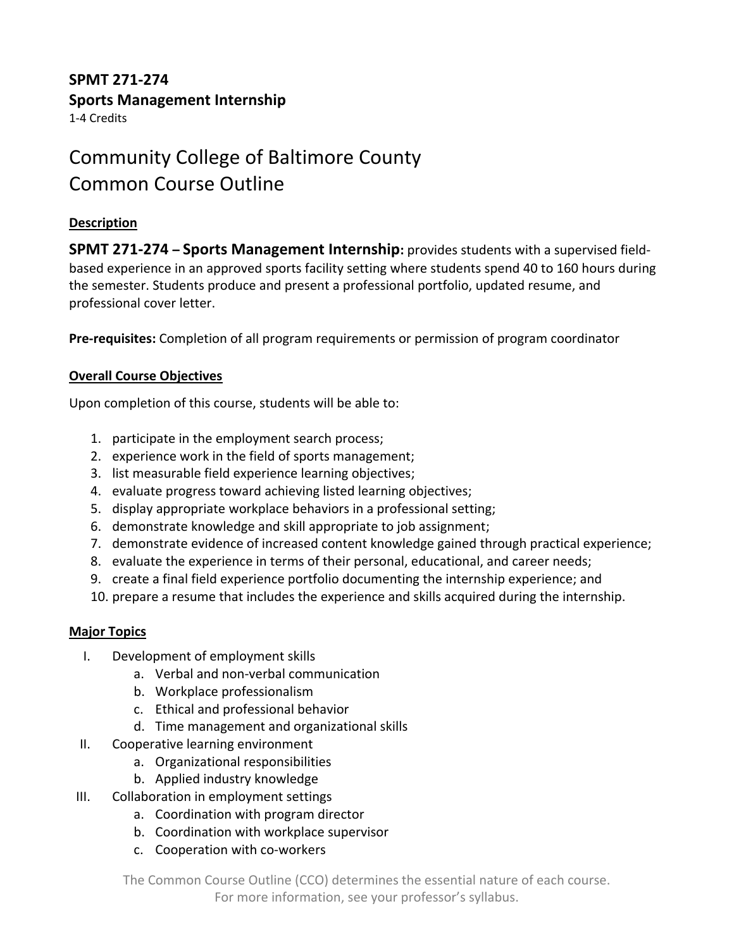## **SPMT 271-274 Sports Management Internship**

1-4 Credits

# Community College of Baltimore County Common Course Outline

### **Description**

**SPMT 271-274 – Sports Management Internship:** provides students with a supervised fieldbased experience in an approved sports facility setting where students spend 40 to 160 hours during the semester. Students produce and present a professional portfolio, updated resume, and professional cover letter.

**Pre-requisites:** Completion of all program requirements or permission of program coordinator

### **Overall Course Objectives**

Upon completion of this course, students will be able to:

- 1. participate in the employment search process;
- 2. experience work in the field of sports management;
- 3. list measurable field experience learning objectives;
- 4. evaluate progress toward achieving listed learning objectives;
- 5. display appropriate workplace behaviors in a professional setting;
- 6. demonstrate knowledge and skill appropriate to job assignment;
- 7. demonstrate evidence of increased content knowledge gained through practical experience;
- 8. evaluate the experience in terms of their personal, educational, and career needs;
- 9. create a final field experience portfolio documenting the internship experience; and
- 10. prepare a resume that includes the experience and skills acquired during the internship.

### **Major Topics**

- I. Development of employment skills
	- a. Verbal and non-verbal communication
	- b. Workplace professionalism
	- c. Ethical and professional behavior
	- d. Time management and organizational skills
- II. Cooperative learning environment
	- a. Organizational responsibilities
	- b. Applied industry knowledge
- III. Collaboration in employment settings
	- a. Coordination with program director
	- b. Coordination with workplace supervisor
	- c. Cooperation with co-workers

The Common Course Outline (CCO) determines the essential nature of each course. For more information, see your professor's syllabus.